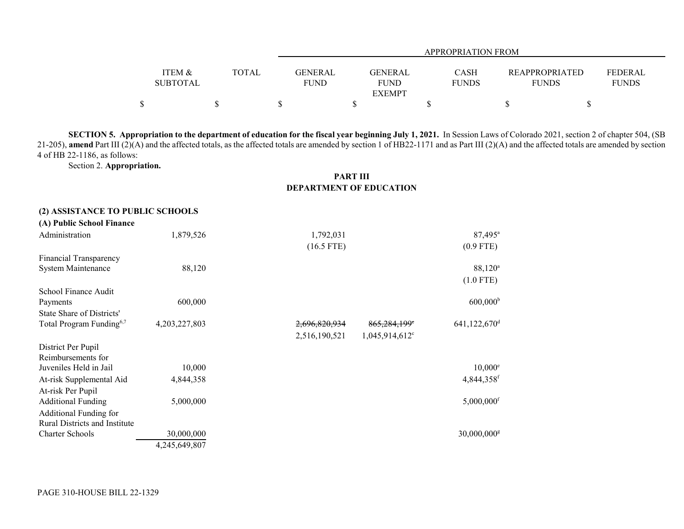|                 |              |         | APPROPRIATION FROM |              |                       |              |  |
|-----------------|--------------|---------|--------------------|--------------|-----------------------|--------------|--|
|                 |              |         |                    |              |                       |              |  |
| ITEM &          | <b>TOTAL</b> | GENERAL | GENERAL            | <b>CASH</b>  | <b>REAPPROPRIATED</b> | FEDERAL      |  |
| <b>SUBTOTAL</b> |              | FUND    | <b>FUND</b>        | <b>FUNDS</b> | <b>FUNDS</b>          | <b>FUNDS</b> |  |
|                 |              |         | <b>EXEMPT</b>      |              |                       |              |  |
|                 |              |         |                    |              |                       |              |  |

**SECTION 5. Appropriation to the department of education for the fiscal year beginning July 1, 2021.** In Session Laws of Colorado 2021, section 2 of chapter 504, (SB 21-205), amend Part III (2)(A) and the affected totals, as the affected totals are amended by section 1 of HB22-1171 and as Part III (2)(A) and the affected totals are amended by section 4 of HB 22-1186, as follows:

Section 2. **Appropriation.**

## **PART III DEPARTMENT OF EDUCATION**

| (2) ASSISTANCE TO PUBLIC SCHOOLS     |               |               |                              |                            |
|--------------------------------------|---------------|---------------|------------------------------|----------------------------|
| (A) Public School Finance            |               |               |                              |                            |
| Administration                       | 1,879,526     | 1,792,031     |                              | $87,495^{\circ}$           |
|                                      |               | $(16.5$ FTE)  |                              | $(0.9$ FTE)                |
| Financial Transparency               |               |               |                              |                            |
| System Maintenance                   | 88,120        |               |                              | 88,120 <sup>a</sup>        |
|                                      |               |               |                              | $(1.0$ FTE)                |
| School Finance Audit                 |               |               |                              |                            |
| Payments                             | 600,000       |               |                              | $600,000$ <sup>b</sup>     |
| State Share of Districts'            |               |               |                              |                            |
| Total Program Funding <sup>6,7</sup> | 4,203,227,803 | 2,696,820,934 | 865,284,199 <sup>e</sup>     | $641,122,670$ <sup>d</sup> |
|                                      |               | 2,516,190,521 | $1,045,914,612$ <sup>c</sup> |                            |
| District Per Pupil                   |               |               |                              |                            |
| Reimbursements for                   |               |               |                              |                            |
| Juveniles Held in Jail               | 10,000        |               |                              | $10,000^{\circ}$           |
| At-risk Supplemental Aid             | 4,844,358     |               |                              | 4,844,358f                 |
| At-risk Per Pupil                    |               |               |                              |                            |
| <b>Additional Funding</b>            | 5,000,000     |               |                              | $5,000,000$ <sup>f</sup>   |
| Additional Funding for               |               |               |                              |                            |
| Rural Districts and Institute        |               |               |                              |                            |
| <b>Charter Schools</b>               | 30,000,000    |               |                              | $30,000,000$ <sup>g</sup>  |
|                                      | 4,245,649,807 |               |                              |                            |